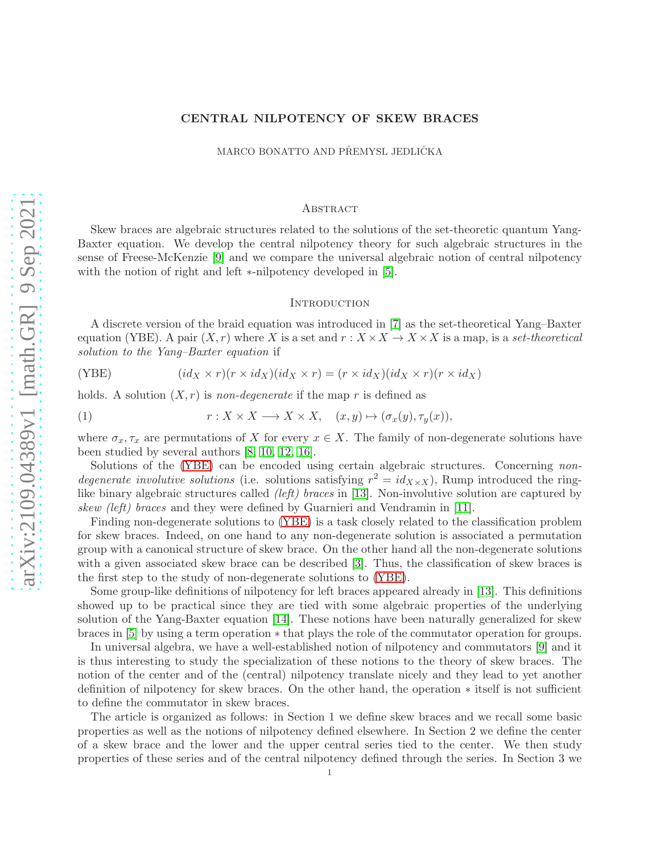# CENTRAL NILPOTENCY OF SKEW BRACES

MARCO BONATTO AND PŘEMYSL JEDLIČKA

### **ABSTRACT**

Skew braces are algebraic structures related to the solutions of the set-theoretic quantum Yang-Baxter equation. We develop the central nilpotency theory for such algebraic structures in the sense of Freese-McKenzie [\[9\]](#page-9-0) and we compare the universal algebraic notion of central nilpotency with the notion of right and left ∗-nilpotency developed in [\[5\]](#page-9-1).

#### **INTRODUCTION**

A discrete version of the braid equation was introduced in [\[7\]](#page-9-2) as the set-theoretical Yang–Baxter equation (YBE). A pair  $(X, r)$  where X is a set and  $r : X \times X \to X \times X$  is a map, is a *set-theoretical solution to the Yang–Baxter equation* if

<span id="page-0-0"></span>(YBE) 
$$
(id_X \times r)(r \times id_X)(id_X \times r) = (r \times id_X)(id_X \times r)(r \times id_X)
$$

holds. A solution  $(X, r)$  is *non-degenerate* if the map r is defined as

(1) 
$$
r: X \times X \longrightarrow X \times X, \quad (x, y) \mapsto (\sigma_x(y), \tau_y(x)),
$$

where  $\sigma_x, \tau_x$  are permutations of X for every  $x \in X$ . The family of non-degenerate solutions have been studied by several authors [\[8,](#page-9-3) [10,](#page-9-4) [12,](#page-9-5) [16\]](#page-9-6).

Solutions of the [\(YBE\)](#page-0-0) can be encoded using certain algebraic structures. Concerning *nondegenerate involutive solutions* (i.e. solutions satisfying  $r^2 = id_{X \times X}$ ), Rump introduced the ringlike binary algebraic structures called *(left) braces* in [\[13\]](#page-9-7). Non-involutive solution are captured by *skew (left) braces* and they were defined by Guarnieri and Vendramin in [\[11\]](#page-9-8).

Finding non-degenerate solutions to [\(YBE\)](#page-0-0) is a task closely related to the classification problem for skew braces. Indeed, on one hand to any non-degenerate solution is associated a permutation group with a canonical structure of skew brace. On the other hand all the non-degenerate solutions with a given associated skew brace can be described [\[3\]](#page-9-9). Thus, the classification of skew braces is the first step to the study of non-degenerate solutions to [\(YBE\)](#page-0-0).

Some group-like definitions of nilpotency for left braces appeared already in [\[13\]](#page-9-7). This definitions showed up to be practical since they are tied with some algebraic properties of the underlying solution of the Yang-Baxter equation [\[14\]](#page-9-10). These notions have been naturally generalized for skew braces in [\[5\]](#page-9-1) by using a term operation ∗ that plays the role of the commutator operation for groups.

In universal algebra, we have a well-established notion of nilpotency and commutators [\[9\]](#page-9-0) and it is thus interesting to study the specialization of these notions to the theory of skew braces. The notion of the center and of the (central) nilpotency translate nicely and they lead to yet another definition of nilpotency for skew braces. On the other hand, the operation ∗ itself is not sufficient to define the commutator in skew braces.

The article is organized as follows: in Section 1 we define skew braces and we recall some basic properties as well as the notions of nilpotency defined elsewhere. In Section 2 we define the center of a skew brace and the lower and the upper central series tied to the center. We then study properties of these series and of the central nilpotency defined through the series. In Section 3 we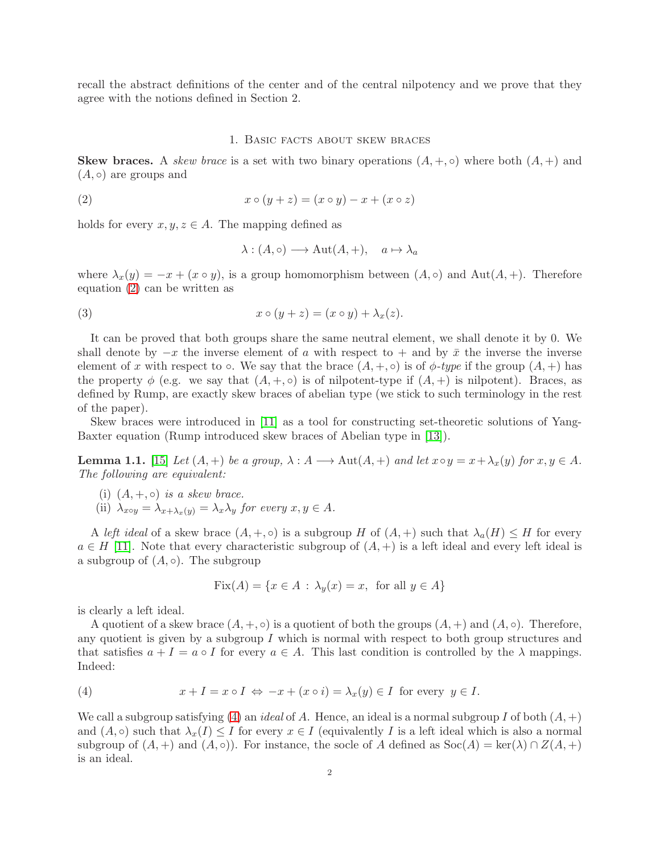recall the abstract definitions of the center and of the central nilpotency and we prove that they agree with the notions defined in Section 2.

#### 1. Basic facts about skew braces

**Skew braces.** A *skew brace* is a set with two binary operations  $(A, +, \circ)$  where both  $(A, +)$  and  $(A, \circ)$  are groups and

$$
(2) \qquad \qquad x \circ (y+z) = (x \circ y) - x + (x \circ z)
$$

holds for every  $x, y, z \in A$ . The mapping defined as

<span id="page-1-0"></span>
$$
\lambda : (A, \circ) \longrightarrow \text{Aut}(A, +), \quad a \mapsto \lambda_a
$$

where  $\lambda_x(y) = -x + (x \circ y)$ , is a group homomorphism between  $(A, \circ)$  and  $Aut(A, +)$ . Therefore equation [\(2\)](#page-1-0) can be written as

(3) 
$$
x \circ (y+z) = (x \circ y) + \lambda_x(z).
$$

It can be proved that both groups share the same neutral element, we shall denote it by 0. We shall denote by  $-x$  the inverse element of a with respect to  $+$  and by  $\bar{x}$  the inverse the inverse element of x with respect to  $\circ$ . We say that the brace  $(A, +, \circ)$  is of  $\phi$ -type if the group  $(A, +)$  has the property  $\phi$  (e.g. we say that  $(A, +, \circ)$  is of nilpotent-type if  $(A, +)$  is nilpotent). Braces, as defined by Rump, are exactly skew braces of abelian type (we stick to such terminology in the rest of the paper).

Skew braces were introduced in [\[11\]](#page-9-8) as a tool for constructing set-theoretic solutions of Yang-Baxter equation (Rump introduced skew braces of Abelian type in [\[13\]](#page-9-7)).

<span id="page-1-2"></span>**Lemma 1.1.** [\[15\]](#page-9-11) *Let*  $(A, +)$  *be a group,*  $\lambda : A \longrightarrow Aut(A, +)$  *and let*  $x \circ y = x + \lambda_x(y)$  *for*  $x, y \in A$ *. The following are equivalent:*

- (i)  $(A, +, \circ)$  *is a skew brace.*
- (ii)  $\lambda_{x\circ y} = \lambda_{x+\lambda_x(y)} = \lambda_x \lambda_y$  *for every*  $x, y \in A$ *.*

A *left ideal* of a skew brace  $(A, +, \circ)$  is a subgroup H of  $(A, +)$  such that  $\lambda_a(H) \leq H$  for every  $a \in H$  [\[11\]](#page-9-8). Note that every characteristic subgroup of  $(A,+)$  is a left ideal and every left ideal is a subgroup of  $(A, \circ)$ . The subgroup

$$
Fix(A) = \{ x \in A : \lambda_y(x) = x, \text{ for all } y \in A \}
$$

is clearly a left ideal.

A quotient of a skew brace  $(A, +, \circ)$  is a quotient of both the groups  $(A, +)$  and  $(A, \circ)$ . Therefore, any quotient is given by a subgroup  $I$  which is normal with respect to both group structures and that satisfies  $a + I = a \circ I$  for every  $a \in A$ . This last condition is controlled by the  $\lambda$  mappings. Indeed:

<span id="page-1-1"></span>(4) 
$$
x + I = x \circ I \Leftrightarrow -x + (x \circ i) = \lambda_x(y) \in I \text{ for every } y \in I.
$$

We call a subgroup satisfying [\(4\)](#page-1-1) an *ideal* of A. Hence, an ideal is a normal subgroup I of both  $(A, +)$ and  $(A, \circ)$  such that  $\lambda_x(I) \leq I$  for every  $x \in I$  (equivalently I is a left ideal which is also a normal subgroup of  $(A,+)$  and  $(A, \circ)$ ). For instance, the socle of A defined as  $Soc(A) = \text{ker}(\lambda) \cap Z(A,+)$ is an ideal.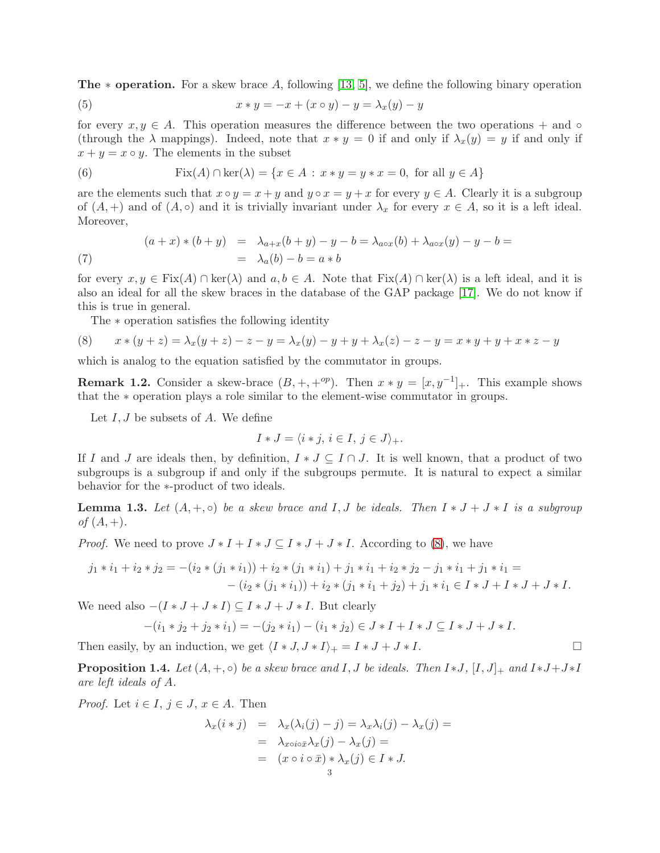**The**  $*$  **operation.** For a skew brace A, following [\[13,](#page-9-7) [5\]](#page-9-1), we define the following binary operation

(5) 
$$
x * y = -x + (x \circ y) - y = \lambda_x(y) - y
$$

for every  $x, y \in A$ . This operation measures the difference between the two operations + and ∘ (through the  $\lambda$  mappings). Indeed, note that  $x * y = 0$  if and only if  $\lambda_x(y) = y$  if and only if  $x + y = x \circ y$ . The elements in the subset

(6) 
$$
Fix(A) \cap \ker(\lambda) = \{x \in A : x * y = y * x = 0, \text{ for all } y \in A\}
$$

are the elements such that  $x \circ y = x + y$  and  $y \circ x = y + x$  for every  $y \in A$ . Clearly it is a subgroup of  $(A,+)$  and of  $(A, \circ)$  and it is trivially invariant under  $\lambda_x$  for every  $x \in A$ , so it is a left ideal. Moreover,

<span id="page-2-3"></span>(7) 
$$
(a+x)*(b+y) = \lambda_{a+x}(b+y) - y - b = \lambda_{a\circ x}(b) + \lambda_{a\circ x}(y) - y - b = \lambda_{a}(b) - b = a*b
$$

for every  $x, y \in Fix(A) \cap ker(\lambda)$  and  $a, b \in A$ . Note that  $Fix(A) \cap ker(\lambda)$  is a left ideal, and it is also an ideal for all the skew braces in the database of the GAP package [\[17\]](#page-9-12). We do not know if this is true in general.

<span id="page-2-0"></span>The ∗ operation satisfies the following identity

(8) 
$$
x * (y + z) = \lambda_x (y + z) - z - y = \lambda_x (y) - y + y + \lambda_x (z) - z - y = x * y + y + x * z - y
$$

which is analog to the equation satisfied by the commutator in groups.

<span id="page-2-2"></span>**Remark 1.2.** Consider a skew-brace  $(B, +, +^{op})$ . Then  $x * y = [x, y^{-1}]_+$ . This example shows that the ∗ operation plays a role similar to the element-wise commutator in groups.

Let  $I, J$  be subsets of  $A$ . We define

$$
I * J = \langle i * j, i \in I, j \in J \rangle_+.
$$

If I and J are ideals then, by definition,  $I * J \subseteq I \cap J$ . It is well known, that a product of two subgroups is a subgroup if and only if the subgroups permute. It is natural to expect a similar behavior for the ∗-product of two ideals.

<span id="page-2-1"></span>**Lemma 1.3.** Let  $(A, +, \circ)$  be a skew brace and I, J be ideals. Then  $I * J + J * I$  is a subgroup *of*  $(A, +)$ *.* 

*Proof.* We need to prove  $J * I + I * J \subseteq I * J + J * I$ . According to [\(8\)](#page-2-0), we have

$$
j_1 * i_1 + i_2 * j_2 = -(i_2 * (j_1 * i_1)) + i_2 * (j_1 * i_1) + j_1 * i_1 + i_2 * j_2 - j_1 * i_1 + j_1 * i_1 =
$$
  

$$
-(i_2 * (j_1 * i_1)) + i_2 * (j_1 * i_1 + j_2) + j_1 * i_1 \in I * J + I * J + J * I.
$$

We need also  $-(I * J + J * I) \subseteq I * J + J * I$ . But clearly

$$
-(i_1 * j_2 + j_2 * i_1) = -(j_2 * i_1) - (i_1 * j_2) \in J * I + I * J \subseteq I * J + J * I.
$$

Then easily, by an induction, we get  $\langle I * J, J * I \rangle_+ = I * J + J * I$ .

**Proposition 1.4.** *Let*  $(A, +, \circ)$  *be a skew brace and*  $I, J$  *be ideals. Then*  $I * J$ *,*  $[I, J]$ <sub>+</sub> and  $I * J + J * I$ *are left ideals of* A*.*

*Proof.* Let  $i \in I$ ,  $j \in J$ ,  $x \in A$ . Then

$$
\lambda_x(i * j) = \lambda_x(\lambda_i(j) - j) = \lambda_x \lambda_i(j) - \lambda_x(j) =
$$
  
= 
$$
\lambda_{x \circ i \circ \bar{x}} \lambda_x(j) - \lambda_x(j) =
$$
  
= 
$$
(x \circ i \circ \bar{x}) * \lambda_x(j) \in I * J.
$$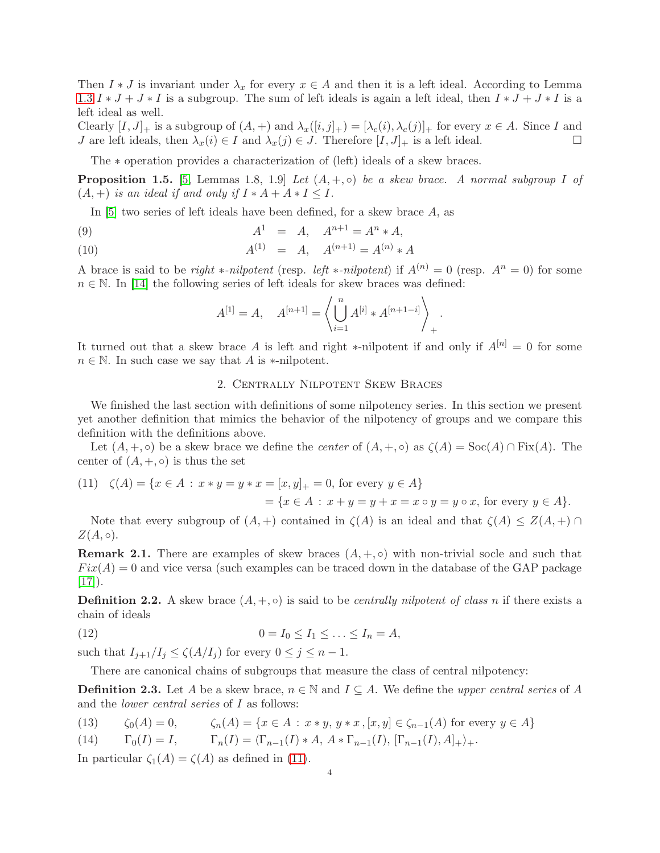Then  $I * J$  is invariant under  $\lambda_x$  for every  $x \in A$  and then it is a left ideal. According to Lemma [1.3](#page-2-1)  $I * J + J * I$  is a subgroup. The sum of left ideals is again a left ideal, then  $I * J + J * I$  is a left ideal as well.

Clearly  $[I, J]_+$  is a subgroup of  $(A, +)$  and  $\lambda_x([i, j]_+) = [\lambda_c(i), \lambda_c(j)]_+$  for every  $x \in A$ . Since I and J are left ideals, then  $\lambda_x(i) \in I$  and  $\lambda_x(j) \in J$ . Therefore  $[I, J]_+$  is a left ideal.

The ∗ operation provides a characterization of (left) ideals of a skew braces.

<span id="page-3-1"></span>**Proposition 1.5.** [\[5,](#page-9-1) Lemmas 1.8, 1.9] *Let*  $(A, +, \circ)$  *be a skew brace. A normal subgroup I of*  $(A, +)$  *is an ideal if and only if*  $I * A + A * I \leq I$ .

In [\[5\]](#page-9-1) two series of left ideals have been defined, for a skew brace A, as

(9) 
$$
A^1 = A, \quad A^{n+1} = A^n * A,
$$

(10) 
$$
A^{(1)} = A, \quad A^{(n+1)} = A^{(n)} * A
$$

A brace is said to be *right* \**-nilpotent* (resp. *left* \**-nilpotent*) if  $A^{(n)} = 0$  (resp.  $A^n = 0$ ) for some  $n \in \mathbb{N}$ . In [\[14\]](#page-9-10) the following series of left ideals for skew braces was defined:

$$
A^{[1]} = A, \quad A^{[n+1]} = \left\langle \bigcup_{i=1}^{n} A^{[i]} * A^{[n+1-i]} \right\rangle_{+}.
$$

It turned out that a skew brace A is left and right \*-nilpotent if and only if  $A^{[n]} = 0$  for some  $n \in \mathbb{N}$ . In such case we say that A is \*-nilpotent.

## 2. Centrally Nilpotent Skew Braces

We finished the last section with definitions of some nilpotency series. In this section we present yet another definition that mimics the behavior of the nilpotency of groups and we compare this definition with the definitions above.

Let  $(A, +, \circ)$  be a skew brace we define the *center* of  $(A, +, \circ)$  as  $\zeta(A) = \text{Soc}(A) \cap \text{Fix}(A)$ . The center of  $(A, +, \circ)$  is thus the set

<span id="page-3-0"></span>(11) 
$$
\zeta(A) = \{x \in A : x * y = y * x = [x, y]_+ = 0, \text{ for every } y \in A\}
$$
  
=  $\{x \in A : x + y = y + x = x \circ y = y \circ x, \text{ for every } y \in A\}.$ 

Note that every subgroup of  $(A,+)$  contained in  $\zeta(A)$  is an ideal and that  $\zeta(A) \leq Z(A,+) \cap$  $Z(A,\circ).$ 

**Remark 2.1.** There are examples of skew braces  $(A, +, \circ)$  with non-trivial socle and such that  $Fix(A) = 0$  and vice versa (such examples can be traced down in the database of the GAP package  $|17|$ ).

**Definition 2.2.** A skew brace  $(A, +, \circ)$  is said to be *centrally nilpotent of class n* if there exists a chain of ideals

$$
(12) \qquad \qquad 0 = I_0 \leq I_1 \leq \ldots \leq I_n = A,
$$

such that  $I_{j+1}/I_j \leq \zeta(A/I_j)$  for every  $0 \leq j \leq n-1$ .

There are canonical chains of subgroups that measure the class of central nilpotency:

**Definition 2.3.** Let A be a skew brace,  $n \in \mathbb{N}$  and  $I \subseteq A$ . We define the *upper central series* of A and the *lower central series* of I as follows:

<span id="page-3-2"></span>(13) 
$$
\zeta_0(A) = 0, \qquad \zeta_n(A) = \{x \in A : x * y, y * x, [x, y] \in \zeta_{n-1}(A) \text{ for every } y \in A\}
$$

(14) 
$$
\Gamma_0(I) = I, \qquad \Gamma_n(I) = \langle \Gamma_{n-1}(I) * A, A * \Gamma_{n-1}(I), [\Gamma_{n-1}(I), A]_+ \rangle_+.
$$

In particular  $\zeta_1(A) = \zeta(A)$  as defined in [\(11\)](#page-3-0).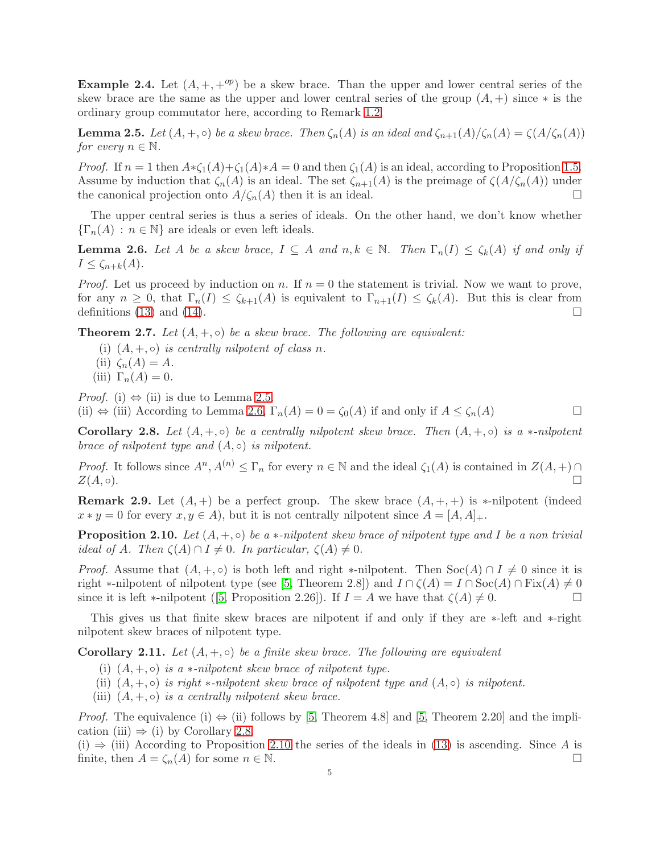**Example 2.4.** Let  $(A, +, +^{op})$  be a skew brace. Than the upper and lower central series of the skew brace are the same as the upper and lower central series of the group  $(A,+)$  since  $*$  is the ordinary group commutator here, according to Remark [1.2.](#page-2-2)

<span id="page-4-0"></span>**Lemma 2.5.** *Let*  $(A, +, \circ)$  *be a skew brace. Then*  $\zeta_n(A)$  *is an ideal and*  $\zeta_{n+1}(A)/\zeta_n(A) = \zeta(A/\zeta_n(A))$ *for every*  $n \in \mathbb{N}$ *.* 

*Proof.* If  $n = 1$  then  $A * \zeta_1(A) + \zeta_1(A) * A = 0$  and then  $\zeta_1(A)$  is an ideal, according to Proposition [1.5.](#page-3-1) Assume by induction that  $\zeta_n(A)$  is an ideal. The set  $\zeta_{n+1}(A)$  is the preimage of  $\zeta(A/\zeta_n(A))$  under the canonical projection onto  $A/\zeta_n(A)$  then it is an ideal.

The upper central series is thus a series of ideals. On the other hand, we don't know whether  $\{\Gamma_n(A) : n \in \mathbb{N}\}\$ are ideals or even left ideals.

<span id="page-4-1"></span>**Lemma 2.6.** Let A be a skew brace,  $I \subseteq A$  and  $n, k \in \mathbb{N}$ . Then  $\Gamma_n(I) \leq \zeta_k(A)$  if and only if  $I \leq \zeta_{n+k}(A)$ .

*Proof.* Let us proceed by induction on n. If  $n = 0$  the statement is trivial. Now we want to prove, for any  $n \geq 0$ , that  $\Gamma_n(I) \leq \zeta_{k+1}(A)$  is equivalent to  $\Gamma_{n+1}(I) \leq \zeta_k(A)$ . But this is clear from definitions [\(13\)](#page-3-2) and [\(14\)](#page-3-2).

**Theorem 2.7.** Let  $(A, +, \circ)$  be a skew brace. The following are equivalent:

- (i)  $(A, +, \circ)$  *is centrally nilpotent of class n.*
- (ii)  $\zeta_n(A) = A$ .
- (iii)  $\Gamma_n(A) = 0$ .

*Proof.* (i)  $\Leftrightarrow$  (ii) is due to Lemma [2.5.](#page-4-0)

(ii)  $\Leftrightarrow$  (iii) According to Lemma [2.6,](#page-4-1)  $\Gamma_n(A) = 0 = \zeta_0(A)$  if and only if  $A \leq \zeta_n(A)$ 

<span id="page-4-2"></span>**Corollary 2.8.** Let  $(A, +, \circ)$  be a centrally nilpotent skew brace. Then  $(A, +, \circ)$  is a  $*$ *-nilpotent brace of nilpotent type and*  $(A, ∘)$  *is nilpotent.* 

*Proof.* It follows since  $A^n, A^{(n)} \leq \Gamma_n$  for every  $n \in \mathbb{N}$  and the ideal  $\zeta_1(A)$  is contained in  $Z(A,+) \cap$  $Z(A, \circ).$ 

**Remark 2.9.** Let  $(A, +)$  be a perfect group. The skew brace  $(A, +, +)$  is \*-nilpotent (indeed  $x * y = 0$  for every  $x, y \in A$ , but it is not centrally nilpotent since  $A = [A, A]_+.$ 

<span id="page-4-3"></span>**Proposition 2.10.** Let  $(A, +, \circ)$  be a  $*$ -nilpotent skew brace of nilpotent type and I be a non trivial *ideal of* A. Then  $\zeta(A) \cap I \neq 0$ . In particular,  $\zeta(A) \neq 0$ .

*Proof.* Assume that  $(A, +, \circ)$  is both left and right \*-nilpotent. Then  $Soc(A) \cap I \neq 0$  since it is right \*-nilpotent of nilpotent type (see [\[5,](#page-9-1) Theorem 2.8]) and  $I \cap \zeta(A) = I \cap \mathrm{Soc}(A) \cap \mathrm{Fix}(A) \neq 0$ sinceit is left ∗-nilpotent ([\[5,](#page-9-1) Proposition 2.26]). If  $I = A$  we have that  $\zeta(A) \neq 0$ .

This gives us that finite skew braces are nilpotent if and only if they are ∗-left and ∗-right nilpotent skew braces of nilpotent type.

<span id="page-4-4"></span>**Corollary 2.11.** Let  $(A, +, \circ)$  be a finite skew brace. The following are equivalent

- (i)  $(A, +, \circ)$  *is a* \**-nilpotent skew brace of nilpotent type.*
- (ii)  $(A, +, \circ)$  *is right* \**-nilpotent skew brace of nilpotent type and*  $(A, \circ)$  *is nilpotent.*
- (iii)  $(A, +, \circ)$  *is a centrally nilpotent skew brace.*

*Proof.* The equivalence (i)  $\Leftrightarrow$  (ii) follows by [\[5,](#page-9-1) Theorem 4.8] and [5, Theorem 2.20] and the implication (iii)  $\Rightarrow$  (i) by Corollary [2.8.](#page-4-2)

(i)  $\Rightarrow$  (iii) According to Proposition [2.10](#page-4-3) the series of the ideals in [\(13\)](#page-3-2) is ascending. Since A is finite, then  $A = \zeta_n(A)$  for some  $n \in \mathbb{N}$ .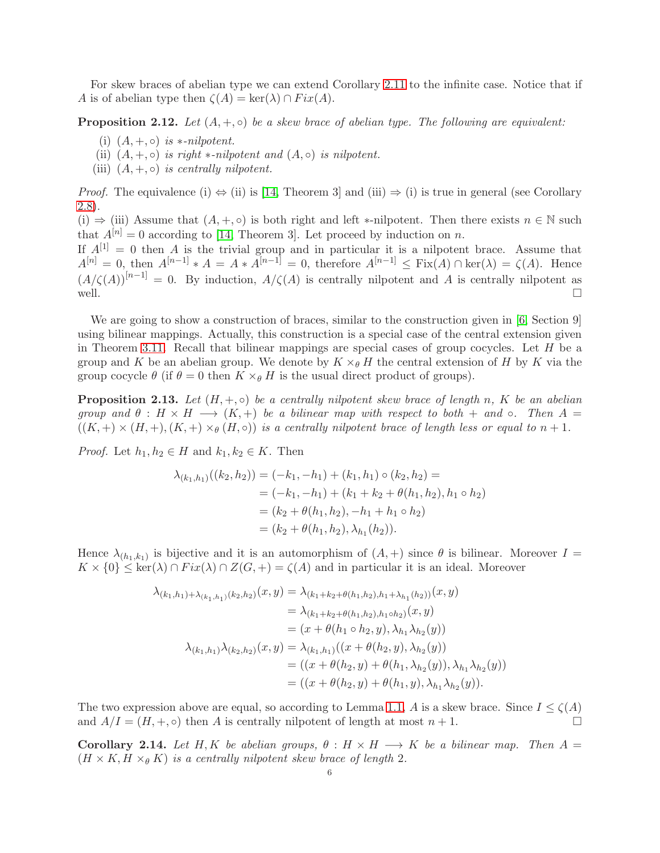For skew braces of abelian type we can extend Corollary [2.11](#page-4-4) to the infinite case. Notice that if A is of abelian type then  $\zeta(A) = \ker(\lambda) \cap Fix(A)$ .

**Proposition 2.12.** Let  $(A, +, \circ)$  be a skew brace of abelian type. The following are equivalent:

- (i)  $(A, +, \circ)$  *is* \*-nilpotent.
- (ii)  $(A, +, \circ)$  *is right* \**-nilpotent and*  $(A, \circ)$  *is nilpotent.*
- (iii)  $(A, +, \circ)$  *is centrally nilpotent.*

*Proof.* The equivalence (i)  $\Leftrightarrow$  (ii) is [\[14,](#page-9-10) Theorem 3] and (iii)  $\Rightarrow$  (i) is true in general (see Corollary [2.8\)](#page-4-2).

(i)  $\Rightarrow$  (iii) Assume that  $(A, +, \circ)$  is both right and left \*-nilpotent. Then there exists  $n \in \mathbb{N}$  such that  $A^{[n]} = 0$  according to [\[14,](#page-9-10) Theorem 3]. Let proceed by induction on n.

If  $A^{[1]} = 0$  then A is the trivial group and in particular it is a nilpotent brace. Assume that  $A^{[n]} = 0$ , then  $A^{[n-1]} * A = A * A^{[n-1]} = 0$ , therefore  $A^{[n-1]} \n\t\leq Fix(A) \cap \text{ker}(\lambda) = \zeta(A)$ . Hence  $(A/\zeta(A))^{[n-1]} = 0$ . By induction,  $A/\zeta(A)$  is centrally nilpotent and A is centrally nilpotent as well.  $\square$ 

We are going to show a construction of braces, similar to the construction given in [\[6,](#page-9-13) Section 9] using bilinear mappings. Actually, this construction is a special case of the central extension given in Theorem [3.11.](#page-8-0) Recall that bilinear mappings are special cases of group cocycles. Let  $H$  be a group and K be an abelian group. We denote by  $K \times_{\theta} H$  the central extension of H by K via the group cocycle  $\theta$  (if  $\theta = 0$  then  $K \times_{\theta} H$  is the usual direct product of groups).

**Proposition 2.13.** Let  $(H, +, \circ)$  be a centrally nilpotent skew brace of length n, K be an abelian *group and*  $\theta$  :  $H \times H \longrightarrow (K, +)$  *be a bilinear map with respect to both* + *and*  $\circ$ *. Then*  $A =$  $((K, +) \times (H, +), (K, +) \times_{\theta} (H, \circ))$  *is a centrally nilpotent brace of length less or equal to*  $n + 1$ *.* 

*Proof.* Let  $h_1, h_2 \in H$  and  $k_1, k_2 \in K$ . Then

$$
\lambda_{(k_1,h_1)}((k_2,h_2)) = (-k_1,-h_1) + (k_1,h_1) \circ (k_2,h_2) =
$$
  
= (-k\_1,-h\_1) + (k\_1 + k\_2 + \theta(h\_1,h\_2), h\_1 \circ h\_2)  
= (k\_2 + \theta(h\_1,h\_2), -h\_1 + h\_1 \circ h\_2)  
= (k\_2 + \theta(h\_1,h\_2), \lambda\_{h\_1}(h\_2)).

Hence  $\lambda_{(h_1,k_1)}$  is bijective and it is an automorphism of  $(A,+)$  since  $\theta$  is bilinear. Moreover  $I=$  $K \times \{0\} \leq \ker(\lambda) \cap Fix(\lambda) \cap Z(G,+) = \zeta(A)$  and in particular it is an ideal. Moreover

$$
\lambda_{(k_1,h_1)+\lambda_{(k_1,h_1)}(k_2,h_2)}(x,y) = \lambda_{(k_1+k_2+\theta(h_1,h_2),h_1+\lambda_{h_1}(h_2))}(x,y)
$$
  
\n
$$
= \lambda_{(k_1+k_2+\theta(h_1,h_2),h_1\circ h_2)}(x,y)
$$
  
\n
$$
= (x+\theta(h_1 \circ h_2, y), \lambda_{h_1}\lambda_{h_2}(y))
$$
  
\n
$$
\lambda_{(k_1,h_1)}\lambda_{(k_2,h_2)}(x,y) = \lambda_{(k_1,h_1)}((x+\theta(h_2,y), \lambda_{h_2}(y)))
$$
  
\n
$$
= ((x+\theta(h_2,y)+\theta(h_1, \lambda_{h_2}(y)), \lambda_{h_1}\lambda_{h_2}(y)))
$$
  
\n
$$
= ((x+\theta(h_2,y)+\theta(h_1,y), \lambda_{h_1}\lambda_{h_2}(y)).
$$

The two expression above are equal, so according to Lemma [1.1,](#page-1-2) A is a skew brace. Since  $I \leq \zeta(A)$ and  $A/I = (H, +, \circ)$  then A is centrally nilpotent of length at most  $n + 1$ .

Corollary 2.14. Let H, K be abelian groups,  $\theta : H \times H \longrightarrow K$  be a bilinear map. Then  $A =$  $(H \times K, H \times_{\theta} K)$  *is a centrally nilpotent skew brace of length* 2*.*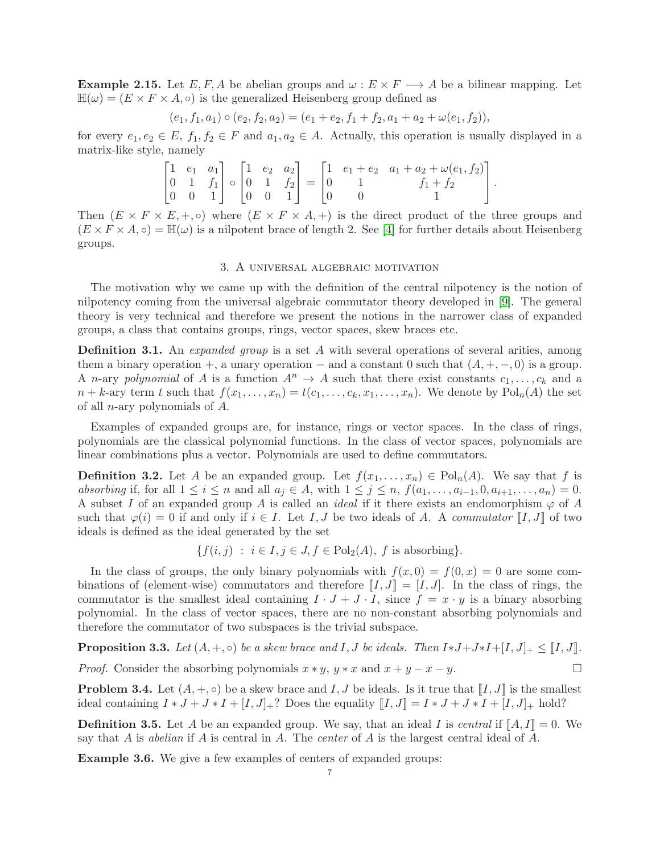**Example 2.15.** Let E, F, A be abelian groups and  $\omega : E \times F \longrightarrow A$  be a bilinear mapping. Let  $\mathbb{H}(\omega) = (E \times F \times A, \circ)$  is the generalized Heisenberg group defined as

$$
(e_1, f_1, a_1) \circ (e_2, f_2, a_2) = (e_1 + e_2, f_1 + f_2, a_1 + a_2 + \omega(e_1, f_2)),
$$

for every  $e_1, e_2 \in E$ ,  $f_1, f_2 \in F$  and  $a_1, a_2 \in A$ . Actually, this operation is usually displayed in a matrix-like style, namely

$$
\begin{bmatrix} 1 & e_1 & a_1 \\ 0 & 1 & f_1 \\ 0 & 0 & 1 \end{bmatrix} \circ \begin{bmatrix} 1 & e_2 & a_2 \\ 0 & 1 & f_2 \\ 0 & 0 & 1 \end{bmatrix} = \begin{bmatrix} 1 & e_1 + e_2 & a_1 + a_2 + \omega(e_1, f_2) \\ 0 & 1 & f_1 + f_2 \\ 0 & 0 & 1 \end{bmatrix}.
$$

Then  $(E \times F \times E, +, \circ)$  where  $(E \times F \times A, +)$  is the direct product of the three groups and  $(E \times F \times A, \circ) = \mathbb{H}(\omega)$  is a nilpotent brace of length 2. See [\[4\]](#page-9-14) for further details about Heisenberg groups.

### 3. A universal algebraic motivation

The motivation why we came up with the definition of the central nilpotency is the notion of nilpotency coming from the universal algebraic commutator theory developed in [\[9\]](#page-9-0). The general theory is very technical and therefore we present the notions in the narrower class of expanded groups, a class that contains groups, rings, vector spaces, skew braces etc.

**Definition 3.1.** An *expanded group* is a set A with several operations of several arities, among them a binary operation +, a unary operation – and a constant 0 such that  $(A, +, -, 0)$  is a group. A *n*-ary *polynomial* of A is a function  $A^n \to A$  such that there exist constants  $c_1, \ldots, c_k$  and a  $n + k$ -ary term t such that  $f(x_1, \ldots, x_n) = t(c_1, \ldots, c_k, x_1, \ldots, x_n)$ . We denote by  $Pol_n(A)$  the set of all n-ary polynomials of A.

Examples of expanded groups are, for instance, rings or vector spaces. In the class of rings, polynomials are the classical polynomial functions. In the class of vector spaces, polynomials are linear combinations plus a vector. Polynomials are used to define commutators.

**Definition 3.2.** Let A be an expanded group. Let  $f(x_1, \ldots, x_n) \in \text{Pol}_n(A)$ . We say that f is *absorbing* if, for all  $1 \leq i \leq n$  and all  $a_j \in A$ , with  $1 \leq j \leq n$ ,  $f(a_1, \ldots, a_{i-1}, 0, a_{i+1}, \ldots, a_n) = 0$ . A subset I of an expanded group A is called an *ideal* if it there exists an endomorphism  $\varphi$  of A such that  $\varphi(i) = 0$  if and only if  $i \in I$ . Let I, J be two ideals of A. A *commutator* II, J of two ideals is defined as the ideal generated by the set

$$
\{f(i,j) : i \in I, j \in J, f \in \text{Pol}_2(A), f \text{ is absorbing}\}.
$$

In the class of groups, the only binary polynomials with  $f(x, 0) = f(0, x) = 0$  are some combinations of (element-wise) commutators and therefore  $[[I, J]] = [I, J]$ . In the class of rings, the commutator is the smallest ideal containing  $I \cdot J + J \cdot I$ , since  $f = x \cdot y$  is a binary absorbing polynomial. In the class of vector spaces, there are no non-constant absorbing polynomials and therefore the commutator of two subspaces is the trivial subspace.

**Proposition 3.3.** *Let*  $(A, +, \circ)$  *be a skew brace and*  $I, J$  *be ideals. Then*  $I * J + J * I + [I, J]_+ \leq [I, J]_+$ . *Proof.* Consider the absorbing polynomials  $x * y$ ,  $y * x$  and  $x + y - x - y$ .

**Problem 3.4.** Let  $(A, +, \circ)$  be a skew brace and I, J be ideals. Is it true that  $\llbracket I, J \rrbracket$  is the smallest ideal containing  $I * J + J * I + [I, J] + ?$  Does the equality  $[[I, J]] = I * J + J * I + [I, J] + \text{hold}$ ?

<span id="page-6-0"></span>**Definition 3.5.** Let A be an expanded group. We say, that an ideal I is *central* if  $[A, I] = 0$ . We say that A is *abelian* if A is central in A. The *center* of A is the largest central ideal of A.

Example 3.6. We give a few examples of centers of expanded groups: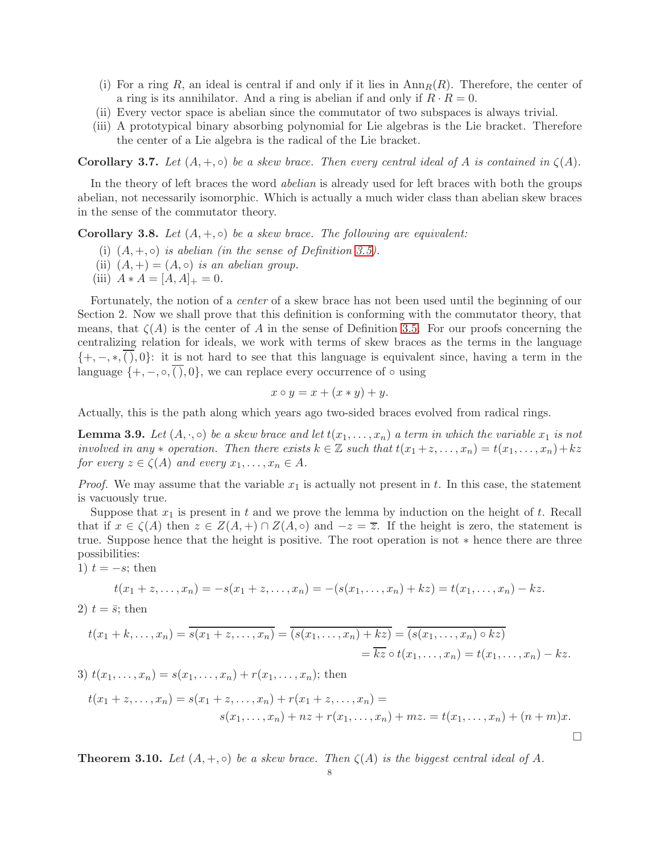- (i) For a ring R, an ideal is central if and only if it lies in  ${\rm Ann}_R(R)$ . Therefore, the center of a ring is its annihilator. And a ring is abelian if and only if  $R \cdot R = 0$ .
- (ii) Every vector space is abelian since the commutator of two subspaces is always trivial.
- (iii) A prototypical binary absorbing polynomial for Lie algebras is the Lie bracket. Therefore the center of a Lie algebra is the radical of the Lie bracket.

<span id="page-7-0"></span>**Corollary 3.7.** Let  $(A, +, \circ)$  be a skew brace. Then every central ideal of A is contained in  $\zeta(A)$ .

In the theory of left braces the word *abelian* is already used for left braces with both the groups abelian, not necessarily isomorphic. Which is actually a much wider class than abelian skew braces in the sense of the commutator theory.

**Corollary 3.8.** *Let*  $(A, +, \circ)$  *be a skew brace. The following are equivalent:* 

- (i)  $(A, +, \circ)$  *is abelian (in the sense of Definition [3.5\)](#page-6-0).*
- (ii)  $(A,+)=(A,\circ)$  *is an abelian group.*
- (iii)  $A * A = [A, A]_+ = 0$ .

Fortunately, the notion of a *center* of a skew brace has not been used until the beginning of our Section 2. Now we shall prove that this definition is conforming with the commutator theory, that means, that  $\zeta(A)$  is the center of A in the sense of Definition [3.5.](#page-6-0) For our proofs concerning the centralizing relation for ideals, we work with terms of skew braces as the terms in the language  $\{+, -, *, ( ), 0 \}$ : it is not hard to see that this language is equivalent since, having a term in the language  $\{+, -, \circ, \overline{()}, 0\}$ , we can replace every occurrence of  $\circ$  using

$$
x \circ y = x + (x * y) + y.
$$

Actually, this is the path along which years ago two-sided braces evolved from radical rings.

<span id="page-7-1"></span>**Lemma 3.9.** Let  $(A, \cdot, \circ)$  be a skew brace and let  $t(x_1, \ldots, x_n)$  a term in which the variable  $x_1$  is not *involved in any*  $*$  *operation. Then there exists*  $k \in \mathbb{Z}$  *such that*  $t(x_1 + z, \ldots, x_n) = t(x_1, \ldots, x_n) + kz$ *for every*  $z \in \zeta(A)$  *and every*  $x_1, \ldots, x_n \in A$ *.* 

*Proof.* We may assume that the variable  $x_1$  is actually not present in t. In this case, the statement is vacuously true.

Suppose that  $x_1$  is present in t and we prove the lemma by induction on the height of t. Recall that if  $x \in \zeta(A)$  then  $z \in Z(A,+) \cap Z(A,\circ)$  and  $-z = \overline{z}$ . If the height is zero, the statement is true. Suppose hence that the height is positive. The root operation is not ∗ hence there are three possibilities:

1)  $t = -s$ ; then

$$
t(x_1 + z, \ldots, x_n) = -s(x_1 + z, \ldots, x_n) = -(s(x_1, \ldots, x_n) + kz) = t(x_1, \ldots, x_n) - kz.
$$

2)  $t = \bar{s}$ ; then

$$
t(x_1 + k, \dots, x_n) = \overline{s(x_1 + z, \dots, x_n)} = \overline{(s(x_1, \dots, x_n) + kz)} = \overline{(s(x_1, \dots, x_n) \circ kz)}
$$
  
=  $\overline{kz} \circ t(x_1, \dots, x_n) = t(x_1, \dots, x_n) - kz$ .

3) 
$$
t(x_1,...,x_n) = s(x_1,...,x_n) + r(x_1,...,x_n)
$$
; then  
\n
$$
t(x_1 + z,...,x_n) = s(x_1 + z,...,x_n) + r(x_1 + z,...,x_n) =
$$
\n
$$
s(x_1,...,x_n) + nz + r(x_1,...,x_n) + mz = t(x_1,...,x_n) + (n + m)x.
$$

**Theorem 3.10.** Let  $(A, +, \circ)$  be a skew brace. Then  $\zeta(A)$  is the biggest central ideal of A.

 $\Box$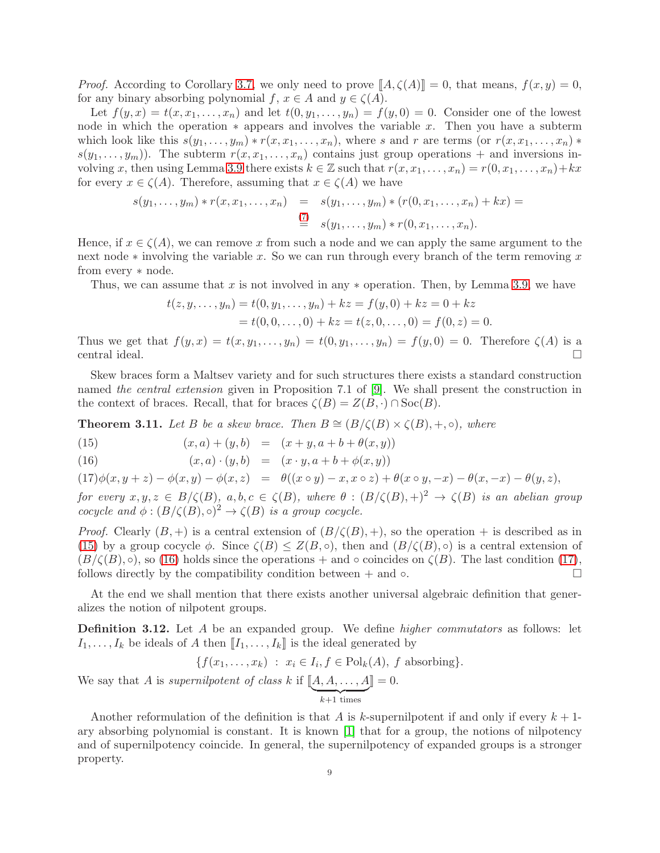*Proof.* According to Corollary [3.7,](#page-7-0) we only need to prove  $\llbracket A, \zeta(A) \rrbracket = 0$ , that means,  $f(x, y) = 0$ , for any binary absorbing polynomial f,  $x \in A$  and  $y \in \zeta(A)$ .

Let  $f(y, x) = t(x, x_1, \ldots, x_n)$  and let  $t(0, y_1, \ldots, y_n) = f(y, 0) = 0$ . Consider one of the lowest node in which the operation  $*$  appears and involves the variable x. Then you have a subterm which look like this  $s(y_1, \ldots, y_m) * r(x, x_1, \ldots, x_n)$ , where s and r are terms (or  $r(x, x_1, \ldots, x_n) *$  $s(y_1, \ldots, y_m)$ . The subterm  $r(x, x_1, \ldots, x_n)$  contains just group operations + and inversions in-volving x, then using Lemma [3.9](#page-7-1) there exists  $k \in \mathbb{Z}$  such that  $r(x, x_1, \ldots, x_n) = r(0, x_1, \ldots, x_n) + kx$ for every  $x \in \zeta(A)$ . Therefore, assuming that  $x \in \zeta(A)$  we have

$$
s(y_1,..., y_m) * r(x, x_1,..., x_n) = s(y_1,..., y_m) * (r(0, x_1,..., x_n) + kx) =
$$
  
\n
$$
\stackrel{(7)}{=} s(y_1,..., y_m) * r(0, x_1,..., x_n).
$$

Hence, if  $x \in \zeta(A)$ , we can remove x from such a node and we can apply the same argument to the next node  $*$  involving the variable x. So we can run through every branch of the term removing x from every ∗ node.

Thus, we can assume that x is not involved in any  $*$  operation. Then, by Lemma [3.9,](#page-7-1) we have

$$
t(z, y, ..., y_n) = t(0, y_1, ..., y_n) + kz = f(y, 0) + kz = 0 + kz
$$
  
= t(0, 0, ..., 0) + kz = t(z, 0, ..., 0) = f(0, z) = 0.

Thus we get that  $f(y, x) = t(x, y_1, \ldots, y_n) = t(0, y_1, \ldots, y_n) = f(y, 0) = 0$ . Therefore  $\zeta(A)$  is a central ideal.

Skew braces form a Maltsev variety and for such structures there exists a standard construction named *the central extension* given in Proposition 7.1 of [\[9\]](#page-9-0). We shall present the construction in the context of braces. Recall, that for braces  $\zeta(B) = Z(B, \cdot) \cap \text{Soc}(B)$ .

<span id="page-8-0"></span>**Theorem 3.11.** Let B be a skew brace. Then  $B \cong (B/\zeta(B) \times \zeta(B), +, \circ)$ , where

<span id="page-8-1"></span>(15) 
$$
(x, a) + (y, b) = (x + y, a + b + \theta(x, y))
$$

(16) 
$$
(x, a) \cdot (y, b) = (x \cdot y, a + b + \phi(x, y))
$$

 $(17)\phi(x, y+z) - \phi(x, y) - \phi(x, z) = \theta((x \circ y) - x, x \circ z) + \theta(x \circ y, -x) - \theta(x, -x) - \theta(y, z),$ 

*for every*  $x, y, z \in B/\zeta(B)$ ,  $a, b, c \in \zeta(B)$ , where  $\theta : (B/\zeta(B), +)^2 \to \zeta(B)$  *is an abelian group cocycle and*  $\phi: (B/\zeta(B), \circ)^2 \to \zeta(B)$  *is a group cocycle.* 

*Proof.* Clearly  $(B, +)$  is a central extension of  $(B/\zeta(B), +)$ , so the operation + is described as in [\(15\)](#page-8-1) by a group cocycle  $\phi$ . Since  $\zeta(B) \leq Z(B,\circ)$ , then and  $(B/\zeta(B),\circ)$  is a central extension of  $(B/\zeta(B), \circ)$ , so [\(16\)](#page-8-1) holds since the operations + and  $\circ$  coincides on  $\zeta(B)$ . The last condition [\(17\)](#page-8-1), follows directly by the compatibility condition between + and ∘.  $\Box$ 

At the end we shall mention that there exists another universal algebraic definition that generalizes the notion of nilpotent groups.

Definition 3.12. Let A be an expanded group. We define *higher commutators* as follows: let  $I_1, \ldots, I_k$  be ideals of A then  $\llbracket I_1, \ldots, I_k \rrbracket$  is the ideal generated by

$$
\{f(x_1,\ldots,x_k) : x_i \in I_i, f \in \text{Pol}_k(A), f \text{ absorbing}\}.
$$

We say that A is *supernilpotent of class* k if  $\llbracket A, A, \ldots, A \rrbracket$  $\overline{k+1}$  times  $\rrbracket = 0.$ 

Another reformulation of the definition is that A is k-supernilpotent if and only if every  $k+1$ ary absorbing polynomial is constant. It is known [\[1\]](#page-9-15) that for a group, the notions of nilpotency and of supernilpotency coincide. In general, the supernilpotency of expanded groups is a stronger property.